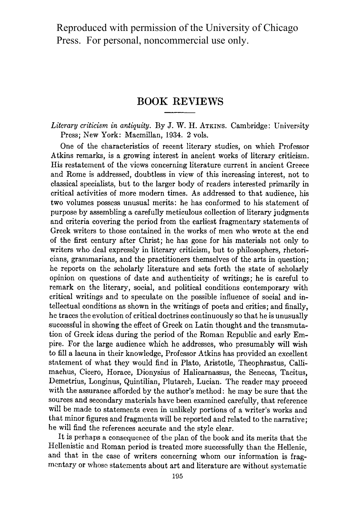Reproduced with permission of the University of Chicago Press. For personal, noncommercial use only.

## **BOOK REVIEWS**

**Literary criticism in antiquity. By J. W. H. ATKINS. Cambridge: University Press; New York: Macmillan, 1934. 2 vols.** 

**One of the characteristics of recent literary studies, on which Professor Atkins remarks, is a growing interest in ancient works of literary criticism. His restatement of the views concerning literature current in ancient Greece and Rome is addressed, doubtless in view of this increasing interest, not to classical specialists, but to the larger body of readers interested primarily in critical activities of more modern times. As addressed to that audience, his two volumes possess unusual merits: he has conformed to his statement of purpose by assembling a carefully meticulous collection of literary judgments and criteria covering the period from the earliest fragmentary statements of Greek writers to those contained in the works of men who wrote at the end of the first century after Christ; he has gone for his materials not only to writers who deal expressly in literary criticism, but to philosophers, rhetoricians, grammarians, and the practitioners themselves of the arts in question; he reports on the scholarly literature and sets forth the state of scholarly opinion on questions of date and authenticity of writings; he is careful to remark on the literary, social, and political conditions contemporary with critical writings and to speculate on the possible influence of social and intellectual conditions as shown in the writings of poets and critics; and finally, he traces the evolution of critical doctrines continuously so that he is unusually successful in showing the effect of Greek on Latin thought and the transmutation of Greek ideas during the period of the Roman Republic and early Empire. For the large audience which he addresses, who presumably will wish to fill a lacuna in their knowledge, Professor Atkins has provided an excellent statement of what they would find in Plato, Aristotle, Theophrastus, Callimachus, Cicero, Horace, Dionysius of Halicarnassus, the Senecas, Tacitus, Demetrius, Longinus, Quintilian, Plutarch, Lucian. The reader may proceed with the assurance afforded by the author's method: he may be sure that the sources and secondary materials have been examined carefully, that reference will be made to statements even in unlikely portions of a writer's works and that minor figures and fragments will be reported and related to the narrative; he will find the references accurate and the style clear.** 

**It is perhaps a consequence of the plan of the book and its merits that the Hellenistic and Roman period is treated more successfully than the Hellenic, and that in the case of writers concerning whom our information is fragmentary or whose statements about art and literature are without systematic**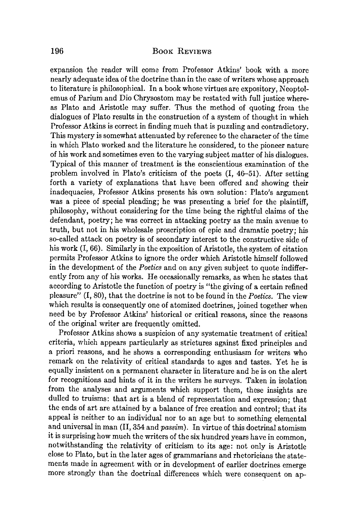## **196 BOOK REVIEWS**

**expansion the reader will come from Professor Atkins' book with a more nearly adequate idea of the doctrine than in the case of writers whose approach to literature is philosophical. In a book whose virtues are expository, Neoptolemus of Parium and Dio Chrysostom may be restated with full justice whereas Plato and Aristotle may suffer. Thus the method of quoting from the dialogues of Plato results in the construction of a system of thought in which Professor Atkins is correct in finding much that is puzzling and contradictory. This mystery is somewhat attenuated by reference to the character of the time in which Plato worked and the literature he considered, to the pioneer nature of his work and sometimes even to the varying subject matter of his dialogues. Typical of this manner of treatment is the conscientious examination of the problem involved in Plato's criticism of the poets (I, 46-51). After setting forth a variety of explanations that have been offered and showing their inadequacies, Professor Atkins presents his own solution: Plato's argument was a piece of special pleading; he was presenting a brief for the plaintiff, philosophy, without considering for the time being the rightful claims of the defendant, poetry; he was correct in attacking poetry as the main avenue to truth, but not in his wholesale proscription of epic and dramatic poetry; his so-called attack on poetry is of secondary interest to the constructive side of his work (I, 66). Similarly in the exposition of Aristotle, the system of citation permits Professor Atkins to ignore the order which Aristotle himself followed in the development of the Poetics and on any given subject to quote indifferently from any of his works. He occasionally remarks, as when he states that according to Aristotle the function of poetry is "the giving of a certain refined pleasure" (I, 80), that the doctrine is not to be found in the Poetics. The view which results is consequently one of atomized doctrines, joined together when need be by Professor Atkins' historical or critical reasons, since the reasons of the original writer are frequently omitted.** 

**Professor Atkins shows a suspicion of any systematic treatment of critical criteria, which appears particularly as strictures against fixed principles and a priori reasons, and he shows a corresponding enthusiasm for writers who remark on the relativity of critical standards to ages and tastes. Yet he is equally insistent on a permanent character in literature and he is on the alert for recognitions and hints of it in the writers he surveys. Taken in isolation from the analyses and arguments which support them, these insights are dulled to truisms: that art is a blend of representation and expression; that the ends of art are attained by a balance of free creation and control; that its appeal is neither to an individual nor to an age but to something elemental and universal in man (II, 354 and passim). In virtue of this doctrinal atomism it is surprising how much the writers of the six hundred years have in common, notwithstanding the relativity of criticism to its age: not only is Aristotle close to Plato, but in the later ages of grammarians and rhetoricians the statements made in agreement with or in development of earlier doctrines emerge more strongly than the doctrinal differences which were consequent on ap-**